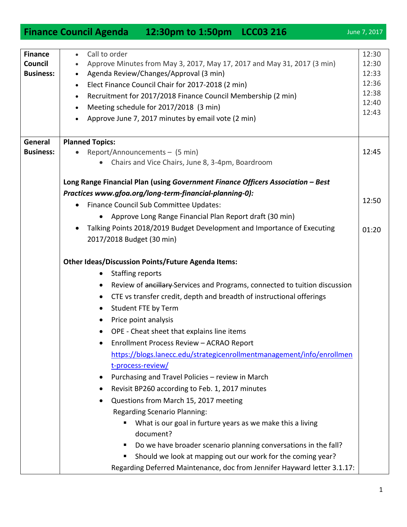1

| <b>Finance</b>   | Call to order                                                                           | 12:30          |
|------------------|-----------------------------------------------------------------------------------------|----------------|
| Council          | Approve Minutes from May 3, 2017, May 17, 2017 and May 31, 2017 (3 min)                 | 12:30          |
| <b>Business:</b> | Agenda Review/Changes/Approval (3 min)                                                  | 12:33          |
|                  | Elect Finance Council Chair for 2017-2018 (2 min)<br>$\bullet$                          | 12:36          |
|                  | Recruitment for 2017/2018 Finance Council Membership (2 min)<br>$\bullet$               | 12:38          |
|                  | Meeting schedule for 2017/2018 (3 min)<br>$\bullet$                                     | 12:40<br>12:43 |
|                  | Approve June 7, 2017 minutes by email vote (2 min)                                      |                |
| General          | <b>Planned Topics:</b>                                                                  |                |
| <b>Business:</b> | Report/Announcements - (5 min)                                                          | 12:45          |
|                  | Chairs and Vice Chairs, June 8, 3-4pm, Boardroom                                        |                |
|                  | Long Range Financial Plan (using Government Finance Officers Association - Best         |                |
|                  | Practices www.gfoa.org/long-term-financial-planning-0):                                 | 12:50          |
|                  | Finance Council Sub Committee Updates:<br>$\bullet$                                     |                |
|                  | Approve Long Range Financial Plan Report draft (30 min)<br>$\bullet$                    |                |
|                  | Talking Points 2018/2019 Budget Development and Importance of Executing<br>$\bullet$    | 01:20          |
|                  | 2017/2018 Budget (30 min)                                                               |                |
|                  | <b>Other Ideas/Discussion Points/Future Agenda Items:</b>                               |                |
|                  | <b>Staffing reports</b><br>$\bullet$                                                    |                |
|                  | Review of ancillary Services and Programs, connected to tuition discussion<br>$\bullet$ |                |
|                  | CTE vs transfer credit, depth and breadth of instructional offerings<br>$\bullet$       |                |
|                  | Student FTE by Term<br>$\bullet$                                                        |                |
|                  | Price point analysis<br>$\bullet$                                                       |                |
|                  | OPE - Cheat sheet that explains line items<br>$\bullet$                                 |                |
|                  | Enrollment Process Review - ACRAO Report                                                |                |
|                  | https://blogs.lanecc.edu/strategicenrollmentmanagement/info/enrollmen                   |                |
|                  | t-process-review/                                                                       |                |
|                  | Purchasing and Travel Policies - review in March<br>$\bullet$                           |                |
|                  | Revisit BP260 according to Feb. 1, 2017 minutes<br>٠                                    |                |
|                  | Questions from March 15, 2017 meeting<br>٠                                              |                |
|                  | <b>Regarding Scenario Planning:</b>                                                     |                |
|                  | What is our goal in furture years as we make this a living                              |                |
|                  | document?                                                                               |                |
|                  | Do we have broader scenario planning conversations in the fall?<br>ш                    |                |
|                  | Should we look at mapping out our work for the coming year?                             |                |
|                  | Regarding Deferred Maintenance, doc from Jennifer Hayward letter 3.1.17:                |                |

## **Finance Council Agenda 12:30pm to 1:50pm LCC03 216** June 7, 2017